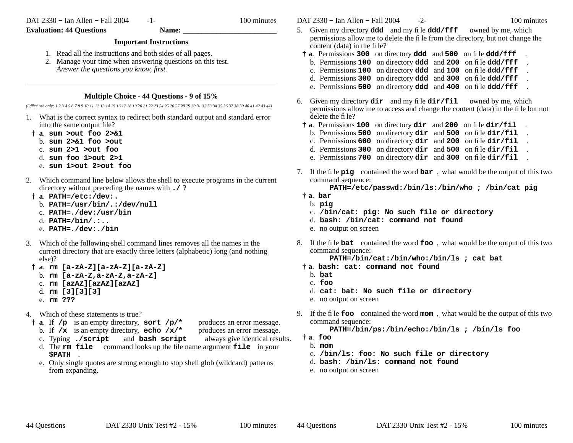DAT 2330 − Ian Allen − Fall 2004

-1- 100 minutes

# **Evaluation: 44 Questions Name:**

# **Important Instructions**

- 1. Read all the instructions and both sides of all pages.
- 2. Manage your time when answering questions on this test. *Answer the questions you know, first.*

## **Multiple Choice - 44 Questions - 9 of 15%**

*(Office use only: 1 2 3 4 5 6 7 8 9 10 11 12 13 14 15 16 17 18 19 20 21 22 23 24 25 26 27 28 29 30 31 32 33 34 35 36 37 38 39 40 41 42 43 44)*

- 1. What is the correct syntax to redirect both standard output and standard error into the same output file?
- **† <sup>a</sup>**. **sum >out foo 2>&1**
	- b. **sum 2>&1 foo >out**
	- c. **sum 2>1 >out foo**
	- d. **sum foo 1>out 2>1**
	- e. **sum 1>out 2>out foo**
- 2. Which command line below allows the shell to execute programs in the current directory without preceding the names with **./** ?
- **† <sup>a</sup>**. **PATH=/etc:/dev:.**
	- b. **PATH=/usr/bin/.:/dev/null**
	- c. **PATH=./dev:/usr/bin**
	- d. **PATH=/bin/.:..**
	- e. **PATH=./dev:./bin**
- 3. Which of the following shell command lines removes all the names in the current directory that are exactly three letters (alphabetic) long (and nothing else)?
- **† <sup>a</sup>**. **rm [a-zA-Z][a-zA-Z][a-zA-Z]**
	- b. **rm [a-zA-Z,a-zA-Z,a-zA-Z]**
	- c. **rm [azAZ][azAZ][azAZ]**
	- d. **rm [3][3][3]**
	- e. **rm ???**
- 4. Which of these statements is true?
- **† <sup>a</sup>**. If **/p** is an empty directory, **sort /p/\*** produces an error message. b. If **/x** is an empty directory, **echo /x/\*** produces an error message.
	-
	- c. Typing **./script** and **bash script** always give identical results.
	- d. The **rm file** command looks up the file name argument **file** in your **\$PATH** .
	- e. Only single quotes are strong enough to stop shell glob (wildcard) patterns from expanding.

DAT 2330 − Ian Allen − Fall 2004 - 2- 100 minutes

- 5. Given my directory **ddd** and my file **ddd/fff** owned by me, which permissions allow me to delete the file from the directory, but not change the content (data) in the file?
- **† <sup>a</sup>**. Permissions **<sup>300</sup>** on directory **ddd** and **<sup>500</sup>** on file **ddd/fff** .
- b. Permissions **100** on directory **ddd** and **<sup>200</sup>** on file **ddd/fff** .
- c. Permissions **100** on directory **ddd** and **<sup>100</sup>** on file **ddd/fff** .
- d. Permissions **300** on directory **ddd** and **<sup>300</sup>** on file **ddd/fff** .
- e. Permissions **500** on directory **ddd** and **<sup>400</sup>** on file **ddd/fff** .
- 6. Given my directory **dir** and my file **dir/fil** owned by me, which permissions allow me to access and change the content (data) in the file but not delete the file?
	- **† <sup>a</sup>**. Permissions **<sup>100</sup>** on directory **dir** and **<sup>200</sup>** on file **dir/fil** .
	- b. Permissions **500** on directory **dir** and **<sup>500</sup>** on file **dir/fil** .
	- c. Permissions **600** on directory **dir** and **<sup>200</sup>** on file **dir/fil** .
	- d. Permissions **300** on directory **dir** and **<sup>500</sup>** on file **dir/fil** .
	- e. Permissions **700** on directory **dir** and **<sup>300</sup>** on file **dir/fil** .
- 7. If the file **pig** contained the word **bar** , what would be the output of this two command sequence:

**PATH=/etc/passwd:/bin/ls:/bin/who ; /bin/cat pig**

- **† <sup>a</sup>**. **bar**
	- b. **pig**
	- c. **/bin/cat: pig: No such file or directory**
	- d. **bash: /bin/cat: command not found**
	- e. no output on screen
- 8. If the file **bat** contained the word **foo** , what would be the output of this two command sequence:

**PATH=/bin/cat:/bin/who:/bin/ls ; cat bat**

- **† <sup>a</sup>**. **bash: cat: command not found**
	- b. **bat**
	- c. **foo**
	- d. **cat: bat: No such file or directory**
	- e. no output on screen
- 9. If the file **foo** contained the word **mom** , what would be the output of this two command sequence:
	- **PATH=/bin/ps:/bin/echo:/bin/ls ; /bin/ls foo**
	- **† <sup>a</sup>**. **foo**
		- b. **mom**
		- c. **/bin/ls: foo: No such file or directory**
		- d. **bash: /bin/ls: command not found**
		- e. no output on screen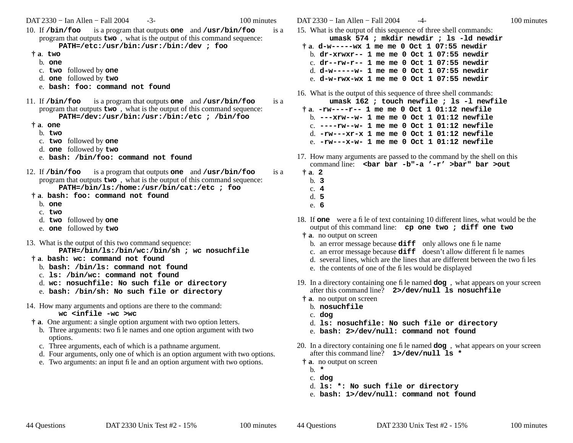DAT 2330 − Ian Allen − Fall 2004 - 3- 100 minutes

- 10. If **/bin/foo** is a program that outputs **one** and **/usr/bin/foo** is a program that outputs **two** , what is the output of this command sequence: **PATH=/etc:/usr/bin:/usr:/bin:/dev ; foo**
- **† <sup>a</sup>**. **two**
- b. **one**
- c. **two** followed by **one**
- d. **one** followed by **two**
- e. **bash: foo: command not found**
- 11. If **/bin/foo** is a program that outputs **one** and **/usr/bin/foo** is a program that outputs **two** , what is the output of this command sequence: **PATH=/dev:/usr/bin:/usr:/bin:/etc ; /bin/foo**
- **† <sup>a</sup>**. **one**
	- b. **two**
	- c. **two** followed by **one**
	- d. **one** followed by **two**
	- e. **bash: /bin/foo: command not found**
- 12. If **/bin/foo** is a program that outputs **one** and **/usr/bin/foo** is a program that outputs **two** , what is the output of this command sequence: **PATH=/bin/ls:/home:/usr/bin/cat:/etc ; foo**
- **† <sup>a</sup>**. **bash: foo: command not found**
	- b. **one**
	- c. **two**
	- d. **two** followed by **one**
	- e. **one** followed by **two**
- 13. What is the output of this two command sequence: **PATH=/bin/ls:/bin/wc:/bin/sh ; wc nosuchfile**
- **† <sup>a</sup>**. **bash: wc: command not found**
	- b. **bash: /bin/ls: command not found**
	- c. **ls: /bin/wc: command not found**
	- d. **wc: nosuchfile: No such file or directory**
	- e. **bash: /bin/sh: No such file or directory**
- 14. How many arguments and options are there to the command:

#### **wc <infile -wc >wc**

- **† <sup>a</sup>**. One argument: a single option argument with two option letters.
	- b. Three arguments: two file names and one option argument with two options.
	- c. Three arguments, each of which is a pathname argument.
	- d. Four arguments, only one of which is an option argument with two options.
	- e. Two arguments: an input file and an option argument with two options.

DAT 2330 − Ian Allen − Fall 2004  $-4$ - 100 minutes 15. What is the output of this sequence of three shell commands: **umask 574 ; mkdir newdir ; ls -ld newdir † <sup>a</sup>**. **d-w-----wx 1 me me 0 Oct 1 07:55 newdir** b. **dr-xrwxr-- 1 me me 0 Oct 1 07:55 newdir**c. **dr--rw-r-- 1 me me 0 Oct 1 07:55 newdir**d. **d-w-----w- 1 me me 0 Oct 1 07:55 newdir**e. **d-w-rwx-wx 1 me me 0 Oct 1 07:55 newdir**16. What is the output of this sequence of three shell commands: **umask 162 ; touch newfile ; ls -l newfile † <sup>a</sup>**. **-rw----r-- 1 me me 0 Oct 1 01:12 newfile** b. **---xrw--w- 1 me me 0 Oct 1 01:12 newfile** c. **----rw--w- 1 me me 0 Oct 1 01:12 newfile** d. **-rw---xr-x 1 me me 0 Oct 1 01:12 newfile**e. **-rw---x-w- 1 me me 0 Oct 1 01:12 newfile**17. How many arguments are passed to the command by the shell on this command line: **<bar bar -b"-a '-r' >bar" bar >out† <sup>a</sup>**. **2**

- 
- b. **3**c. **4**
- d. **5**
- e. **6**
- 18. If **one** were a file of text containing 10 different lines, what would be the output of this command line: **cp one two ; diff one two**
- **† <sup>a</sup>**. no output on screen
	- b. an error message because **diff** only allows one file name
	- c. an error message because **diff** doesn't allow different file names
	- d. several lines, which are the lines that are different between the two files
	- e. the contents of one of the files would be displayed
- 19. In <sup>a</sup> directory containing one file named **dog** , what appears on your screen after this command line? **2>/dev/null ls nosuchfile**
- **† <sup>a</sup>**. no output on screen
	- b. **nosuchfile**
	- c. **dog**
	- d. **ls: nosuchfile: No such file or directory**
	- e. **bash: 2>/dev/null: command not found**
- 20. In <sup>a</sup> directory containing one file named **dog** , what appears on your screen after this command line? **1>/dev/null ls \***
- **† <sup>a</sup>**. no output on screen
	- b. **\***
	- c. **dog**
	- d. **ls: \*: No such file or directory**
	- e. **bash: 1>/dev/null: command not found**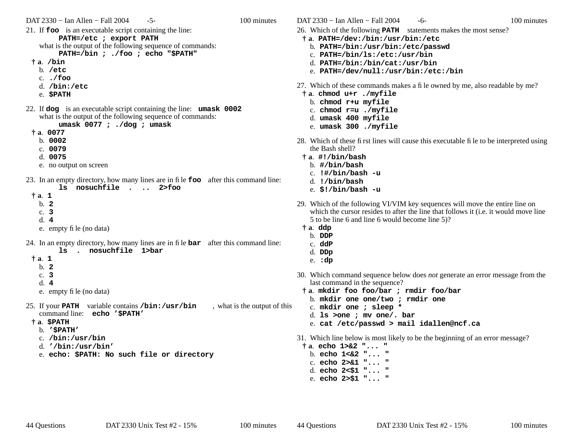DAT 2330 − Ian Allen − Fall 2004 - 5- 100 minutes 21. If **foo** is an executable script containing the line: **PATH=/etc ; export PATH** what is the output of the following sequence of commands: **PATH=/bin ; ./foo ; echo "\$PATH" † <sup>a</sup>**. **/bin** b. **/etc** c. **./foo** d. **/bin:/etc** e. **\$PATH** 22. If **dog** is an executable script containing the line: **umask 0002** what is the output of the following sequence of commands: **umask 0077 ; ./dog ; umask † <sup>a</sup>**. **0077** b. **0002**c. **0079**d. **0075**e. no output on screen 23. In an empty directory, how many lines are in file **foo** after this command line: **ls nosuchfile . .. 2>foo† <sup>a</sup>**. **1** b. **2**c. **3**d. **4**e. empty file (no data) 24. In an empty directory, how many lines are in file **bar** after this command line: **ls . nosuchfile 1>bar† <sup>a</sup>**. **1** b. **2**c. **3**d. **4**e. empty file (no data) 25. If your **PATH** variable contains **/bin:/usr/bin** , what is the output of this command line: **echo '\$PATH' † <sup>a</sup>**. **\$PATH** b. **'\$PATH'** c. **/bin:/usr/bin** d. **'/bin:/usr/bin'** e. **echo: \$PATH: No such file or directory**

DAT 2330 − Ian Allen − Fall 2004 - 6- 100 minutes

- 26. Which of the following **PATH** statements makes the most sense?
- **† <sup>a</sup>**. **PATH=/dev:/bin:/usr/bin:/etc**
	- b. **PATH=/bin:/usr/bin:/etc/passwd**
	- c. **PATH=/bin/ls:/etc:/usr/bin**
	- d. **PATH=/bin:/bin/cat:/usr/bin**
	- e. **PATH=/dev/null:/usr/bin:/etc:/bin**
- 27. Which of these commands makes a file owned by me, also readable by me?
- **† <sup>a</sup>**. **chmod u+r ./myfile**
	- b. **chmod r+u myfile**
	- c. **chmod r=u ./myfile**
	- d. **umask 400 myfile**
	- e. **umask 300 ./myfile**
- 28. Which of these first lines will cause this executable file to be interpreted using the Bash shell?
- **† <sup>a</sup>**. **#!/bin/bash**
	- b. **#/bin/bash**
	- c. **!#/bin/bash -u**
	- d. **!/bin/bash**
	- e. **\$!/bin/bash -u**
- 29. Which of the following VI/VIM key sequences will move the entire line on which the cursor resides to after the line that follows it (i.e. it would move line 5 to be line 6 and line 6 would become line 5)?
- **† <sup>a</sup>**. **ddp**
	- b. **DDP**
	- c. **ddP**
	- d. **DDp**
	- e. **:dp**
- 30. Which command sequence below does *not* generate an error message from the last command in the sequence?
- **† <sup>a</sup>**. **mkdir foo foo/bar ; rmdir foo/bar**
- b. **mkdir one one/two ; rmdir one**
- c. **mkdir one ; sleep \***
- d. **ls >one ; mv one/. bar**
- e. **cat /etc/passwd > mail idallen@ncf.ca**
- 31. Which line below is most likely to be the beginning of an error message?
- **† <sup>a</sup>**. **echo 1>&2 "... "**
- b. **echo 1<&2 "... "**
- c. **echo 2>&1 "... "**
- d. **echo 2<\$1 "... "** e. **echo 2>\$1 "... "**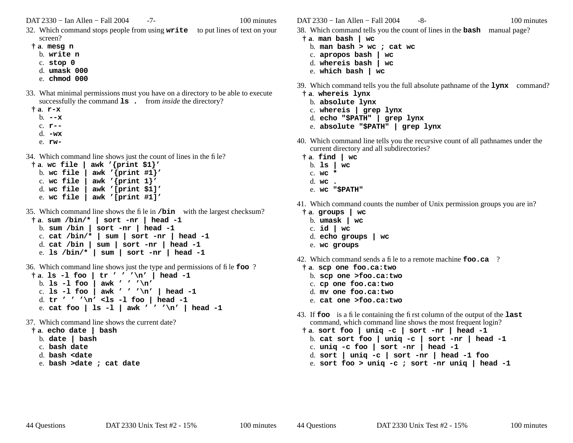DAT 2330 − Ian Allen − Fall 2004 -7- 100 minutes

- 32. Which command stops people from using **write** to put lines of text on your screen?
- **† <sup>a</sup>**. **mesg n**
	- b. **write n**
	- c. **stop 0**
	- d. **umask 000**
	- e. **chmod 000**
- 33. What minimal permissions must you have on a directory to be able to execute successfully the command **ls** . from *inside* the directory?
	- **† <sup>a</sup>**. **r-x** b. **--x**
		- c. **r--**
		- d. **-wx**
		- e. **rw-**
- 34. Which command line shows just the count of lines in the file?

```
† a. wc file | awk '{print $1}'
b. wc file | awk '{print #1}'
c. wc file | awk '{print 1}'
d. wc file | awk '[print $1]'
e. wc file | awk '[print #1]'
```
- 35. Which command line shows the file in **/bin** with the largest checksum?
- **† <sup>a</sup>**. **sum /bin/\* | sort -nr | head -1** b. **sum /bin | sort -nr | head -1** c. **cat /bin/\* | sum | sort -nr | head -1** d. **cat /bin | sum | sort -nr | head -1** e. **ls /bin/\* | sum | sort -nr | head -1**
- 36. Which command line shows just the type and permissions of file **foo** ?
- **† <sup>a</sup>**. **ls -l foo | tr ' ' '\n' | head -1** b. **ls -l foo | awk ' ' '\n'** c. **ls -l foo | awk ' ' '\n' | head -1** d. **tr ' ' '\n' <ls -l foo | head -1** e. **cat foo | ls -l | awk ' ' '\n' | head -1**
- 37. Which command line shows the current date?
- **† <sup>a</sup>**. **echo date | bash**
	- b. **date | bash**
	- c. **bash date**
	- d. **bash <date**
	- e. **bash >date ; cat date**

DAT 2330 – Ian Allen – Fall 2004 – 8- 100 minutes

- 38. Which command tells you the count of lines in the **bash** manual page?
- **† <sup>a</sup>**. **man bash | wc**
	- b. **man bash > wc ; cat wc**
- c. **apropos bash | wc**
- d. **whereis bash | wc**
- e. **which bash | wc**
- 39. Which command tells you the full absolute pathname of the **lynx** command?
	- **† <sup>a</sup>**. **whereis lynx**
		- b. **absolute lynx**
		- c. **whereis | grep lynx**
		- d. **echo "\$PATH" | grep lynx**
		- e. **absolute "\$PATH" | grep lynx**
- 40. Which command line tells you the recursive count of all pathnames under the current directory and all subdirectories?
- **† <sup>a</sup>**. **find | wc**
	- b. **ls | wc**
	- c. **wc \***
	- d. **wc .**
	- e. **wc "\$PATH"**
- 41. Which command counts the number of Unix permission groups you are in?
- **† <sup>a</sup>**. **groups | wc**
	- b. **umask | wc**
	- c. **id | wc**
	- d. **echo groups | wc**
	- e. **wc groups**
- 42. Which command sends a file to a remote machine **foo.ca** ?
- **† <sup>a</sup>**. **scp one foo.ca:two**
	- b. **scp one >foo.ca:two**
	- c. **cp one foo.ca:two**
	- d. **mv one foo.ca:two**
	- e. **cat one >foo.ca:two**
- 43. If **foo** is a file containing the first column of the output of the **last** command, which command line shows the most frequent login?
- **† <sup>a</sup>**. **sort foo | uniq -c | sort -nr | head -1** b. **cat sort foo | uniq -c | sort -nr | head -1**
	- c. **uniq -c foo | sort -nr | head -1**
- d. **sort | uniq -c | sort -nr | head -1 foo**
- e. **sort foo > uniq -c ; sort -nr uniq | head -1**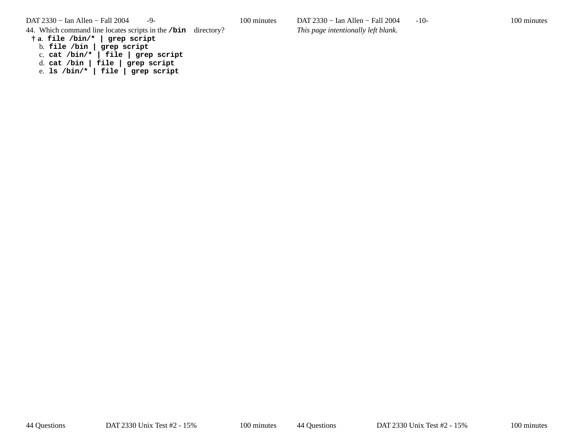DAT 2330 − Ian Allen − Fall 2004 -9- 100 minutes

44. Which command line locates scripts in the **/bin** directory?

**† <sup>a</sup>**. **file /bin/\* | grep script**

b. **file /bin | grep script**

c. **cat /bin/\* | file | grep script**

d. **cat /bin | file | grep script**

e. **ls /bin/\* | file | grep script**

DAT 2330 – Ian Allen – Fall 2004 -10- 100 minutes *This page intentionally left blank.*